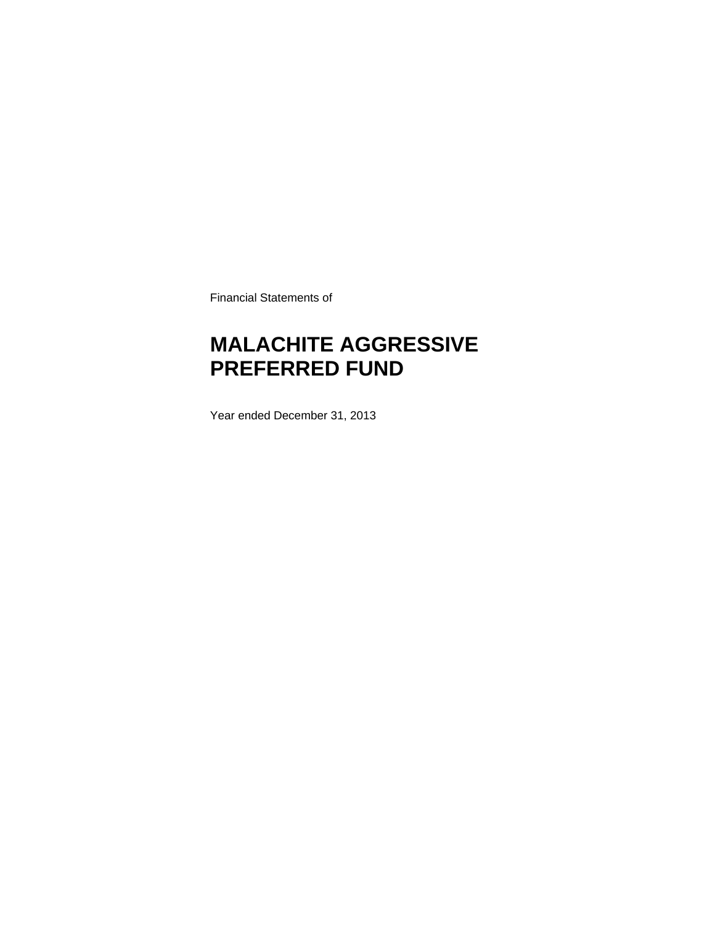Financial Statements of

### **MALACHITE AGGRESSIVE PREFERRED FUND**

Year ended December 31, 2013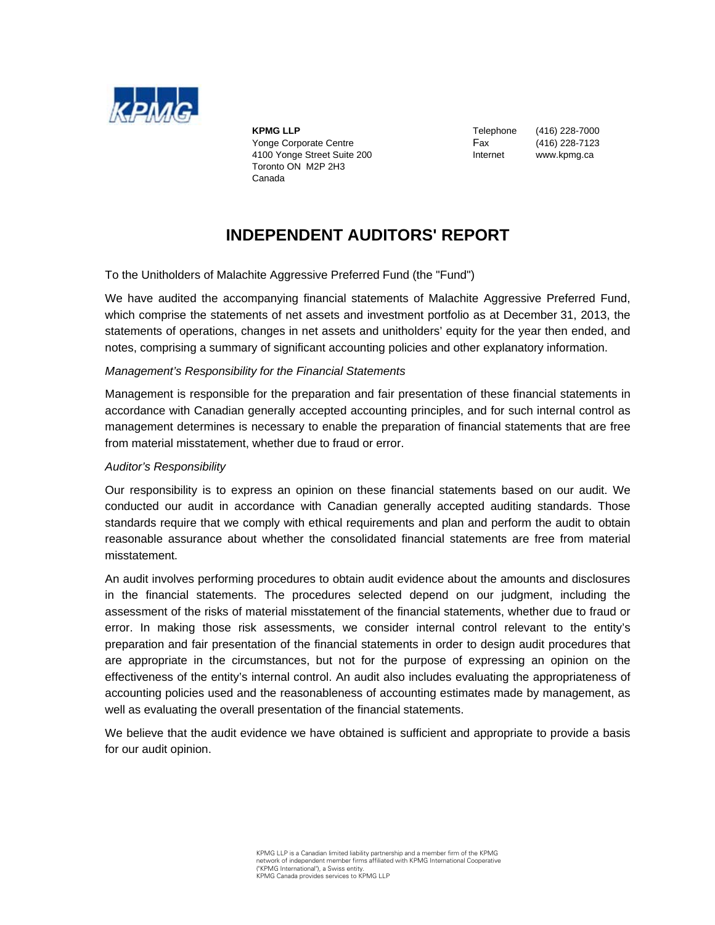

**KPMG LLP** Telephone (416) 228-7000 Yonge Corporate Centre Fax (416) 228-7123 4100 Yonge Street Suite 200 **Internet** www.kpmg.ca Toronto ON M2P 2H3 Canada

### **INDEPENDENT AUDITORS' REPORT**

To the Unitholders of Malachite Aggressive Preferred Fund (the "Fund")

We have audited the accompanying financial statements of Malachite Aggressive Preferred Fund, which comprise the statements of net assets and investment portfolio as at December 31, 2013, the statements of operations, changes in net assets and unitholders' equity for the year then ended, and notes, comprising a summary of significant accounting policies and other explanatory information.

### *Management's Responsibility for the Financial Statements*

Management is responsible for the preparation and fair presentation of these financial statements in accordance with Canadian generally accepted accounting principles, and for such internal control as management determines is necessary to enable the preparation of financial statements that are free from material misstatement, whether due to fraud or error.

### *Auditor's Responsibility*

Our responsibility is to express an opinion on these financial statements based on our audit. We conducted our audit in accordance with Canadian generally accepted auditing standards. Those standards require that we comply with ethical requirements and plan and perform the audit to obtain reasonable assurance about whether the consolidated financial statements are free from material misstatement.

An audit involves performing procedures to obtain audit evidence about the amounts and disclosures in the financial statements. The procedures selected depend on our judgment, including the assessment of the risks of material misstatement of the financial statements, whether due to fraud or error. In making those risk assessments, we consider internal control relevant to the entity's preparation and fair presentation of the financial statements in order to design audit procedures that are appropriate in the circumstances, but not for the purpose of expressing an opinion on the effectiveness of the entity's internal control. An audit also includes evaluating the appropriateness of accounting policies used and the reasonableness of accounting estimates made by management, as well as evaluating the overall presentation of the financial statements.

We believe that the audit evidence we have obtained is sufficient and appropriate to provide a basis for our audit opinion.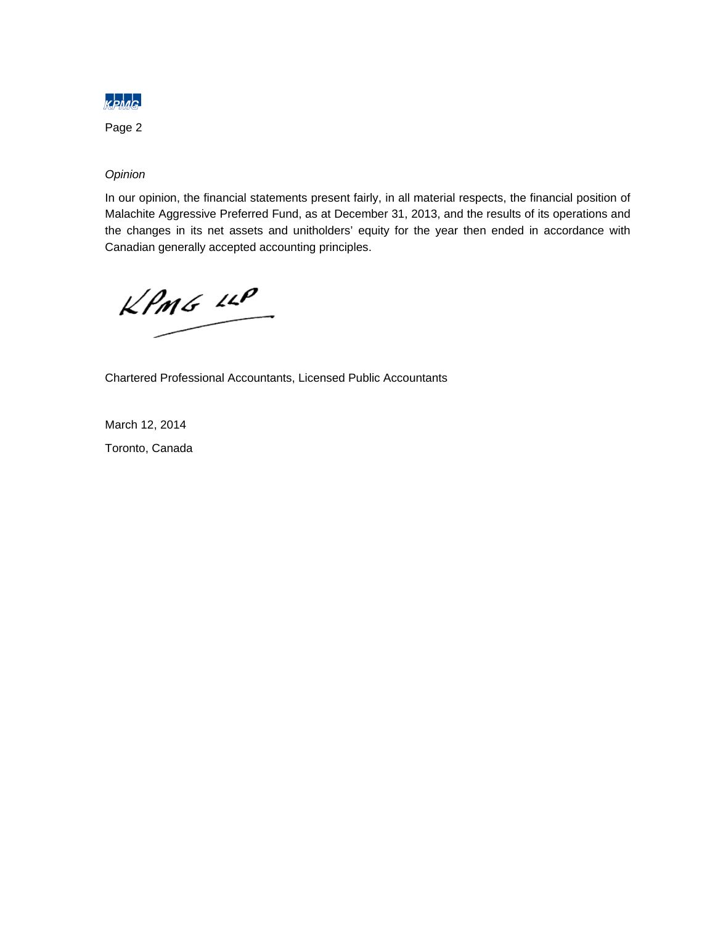

Page 2

### *Opinion*

In our opinion, the financial statements present fairly, in all material respects, the financial position of Malachite Aggressive Preferred Fund, as at December 31, 2013, and the results of its operations and the changes in its net assets and unitholders' equity for the year then ended in accordance with Canadian generally accepted accounting principles.

 $kPm6$  12P

Chartered Professional Accountants, Licensed Public Accountants

March 12, 2014

Toronto, Canada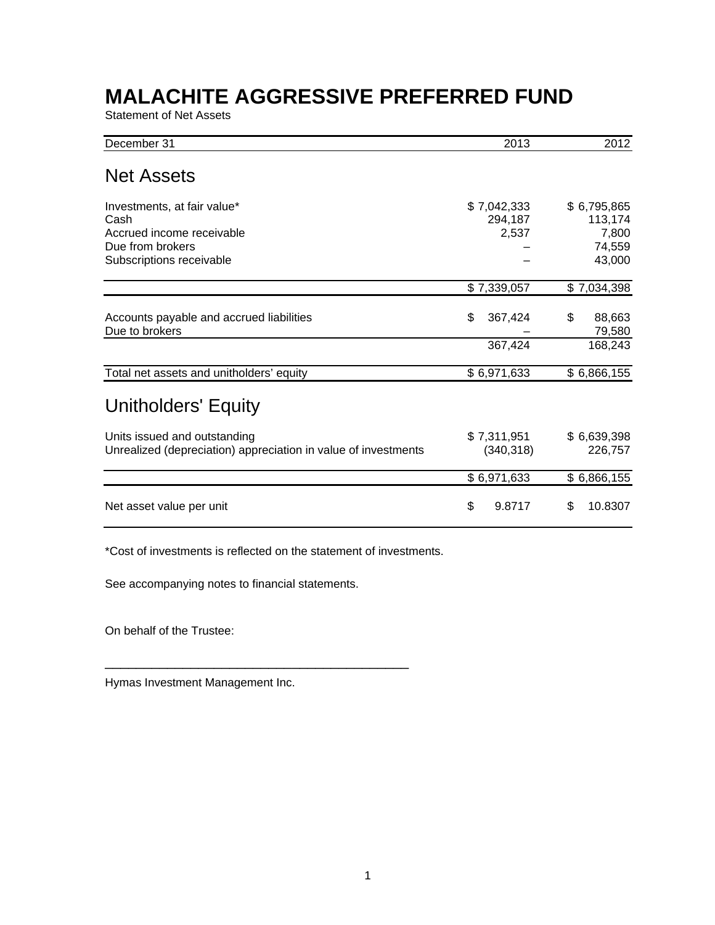Statement of Net Assets

| December 31                                                                                                      | 2013                            | 2012                                                |
|------------------------------------------------------------------------------------------------------------------|---------------------------------|-----------------------------------------------------|
| <b>Net Assets</b>                                                                                                |                                 |                                                     |
| Investments, at fair value*<br>Cash<br>Accrued income receivable<br>Due from brokers<br>Subscriptions receivable | \$7,042,333<br>294,187<br>2,537 | \$6,795,865<br>113,174<br>7,800<br>74,559<br>43,000 |
|                                                                                                                  | \$7,339,057                     | \$7,034,398                                         |
| Accounts payable and accrued liabilities<br>Due to brokers                                                       | \$<br>367,424                   | \$<br>88,663<br>79,580                              |
|                                                                                                                  | 367,424                         | 168,243                                             |
| Total net assets and unitholders' equity                                                                         | \$6,971,633                     | \$6,866,155                                         |
| <b>Unitholders' Equity</b>                                                                                       |                                 |                                                     |
| Units issued and outstanding<br>Unrealized (depreciation) appreciation in value of investments                   | \$7,311,951<br>(340, 318)       | \$6,639,398<br>226,757                              |
|                                                                                                                  | \$6,971,633                     | \$6,866,155                                         |
| Net asset value per unit                                                                                         | \$<br>9.8717                    | \$<br>10.8307                                       |

\*Cost of investments is reflected on the statement of investments.

\_\_\_\_\_\_\_\_\_\_\_\_\_\_\_\_\_\_\_\_\_\_\_\_\_\_\_\_\_\_\_\_\_\_\_\_\_\_\_

See accompanying notes to financial statements.

On behalf of the Trustee:

Hymas Investment Management Inc.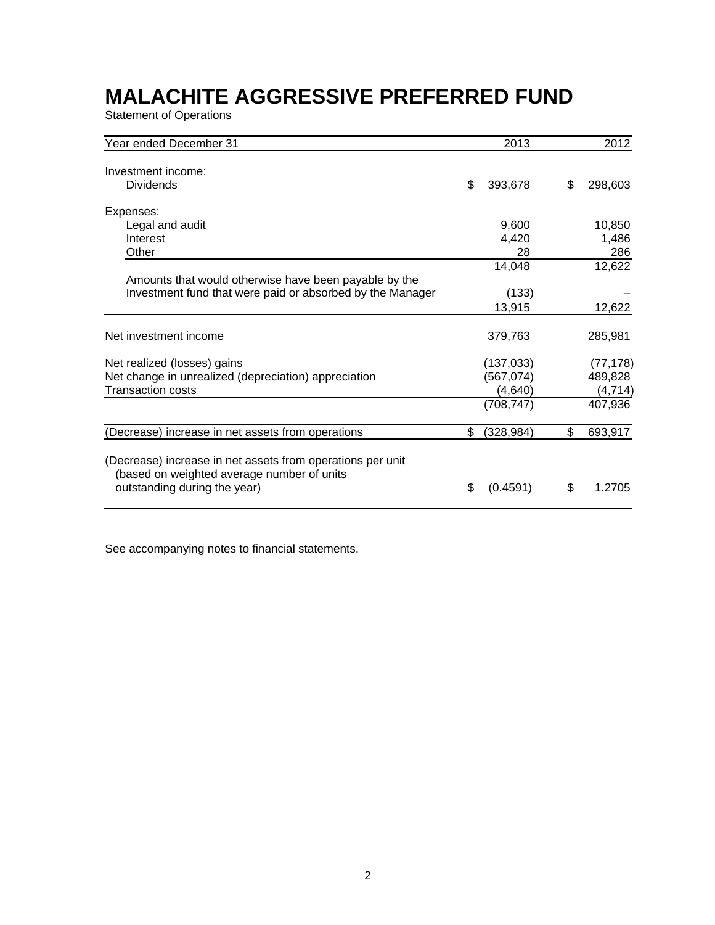Statement of Operations

| Year ended December 31                                                                                                                   | 2013             | 2012          |
|------------------------------------------------------------------------------------------------------------------------------------------|------------------|---------------|
|                                                                                                                                          |                  |               |
| Investment income:                                                                                                                       |                  |               |
| <b>Dividends</b>                                                                                                                         | \$<br>393,678    | \$<br>298,603 |
| Expenses:                                                                                                                                |                  |               |
| Legal and audit                                                                                                                          | 9,600            | 10,850        |
| Interest                                                                                                                                 | 4,420            | 1,486         |
| Other                                                                                                                                    | 28               | 286           |
|                                                                                                                                          | 14,048           | 12,622        |
| Amounts that would otherwise have been payable by the                                                                                    |                  |               |
| Investment fund that were paid or absorbed by the Manager                                                                                | (133)            |               |
|                                                                                                                                          | 13,915           | 12,622        |
| Net investment income                                                                                                                    | 379,763          | 285,981       |
| Net realized (losses) gains                                                                                                              | (137, 033)       | (77, 178)     |
| Net change in unrealized (depreciation) appreciation                                                                                     | (567,074)        | 489,828       |
| <b>Transaction costs</b>                                                                                                                 | (4,640)          | (4, 714)      |
|                                                                                                                                          | (708, 747)       | 407,936       |
| (Decrease) increase in net assets from operations                                                                                        | \$<br>(328, 984) | \$<br>693,917 |
| (Decrease) increase in net assets from operations per unit<br>(based on weighted average number of units<br>outstanding during the year) | \$<br>(0.4591)   | \$<br>1.2705  |

See accompanying notes to financial statements.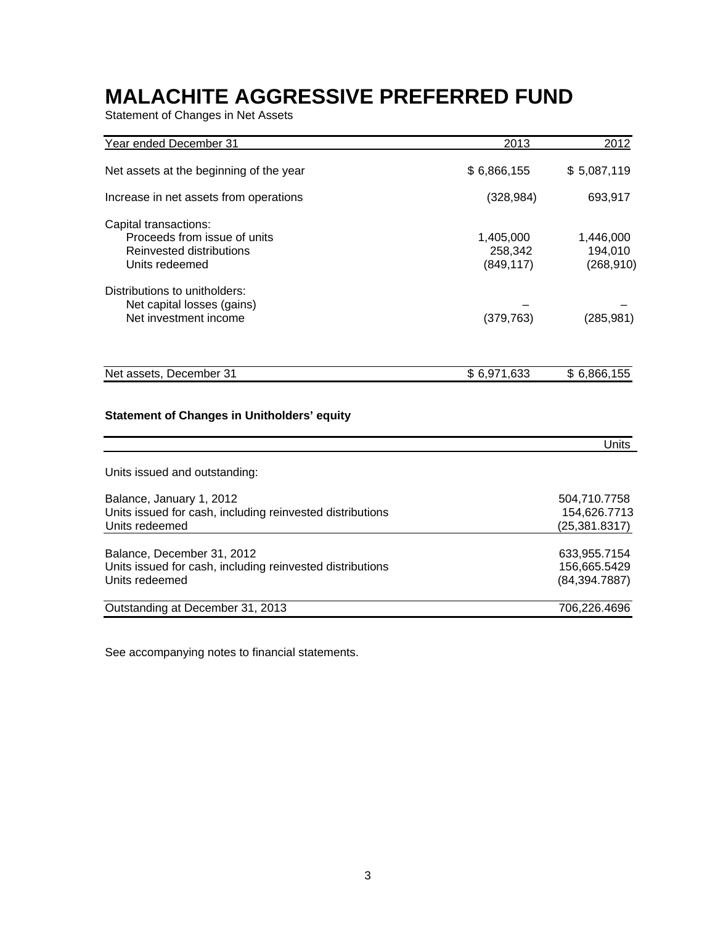Statement of Changes in Net Assets

| Year ended December 31                                                                              | 2013                               | 2012                               |
|-----------------------------------------------------------------------------------------------------|------------------------------------|------------------------------------|
| Net assets at the beginning of the year                                                             | \$6,866,155                        | \$5,087,119                        |
| Increase in net assets from operations                                                              | (328, 984)                         | 693,917                            |
| Capital transactions:<br>Proceeds from issue of units<br>Reinvested distributions<br>Units redeemed | 1,405,000<br>258,342<br>(849, 117) | 1,446,000<br>194,010<br>(268, 910) |
| Distributions to unitholders:<br>Net capital losses (gains)<br>Net investment income                | (379, 763)                         | (285, 981)                         |
| Net assets, December 31                                                                             | \$6,971,633                        | \$6,866,155                        |

### **Statement of Changes in Unitholders' equity**

|                                                                                                           | Units                                          |
|-----------------------------------------------------------------------------------------------------------|------------------------------------------------|
| Units issued and outstanding:                                                                             |                                                |
| Balance, January 1, 2012<br>Units issued for cash, including reinvested distributions<br>Units redeemed   | 504,710.7758<br>154,626.7713<br>(25,381.8317)  |
| Balance, December 31, 2012<br>Units issued for cash, including reinvested distributions<br>Units redeemed | 633,955.7154<br>156,665.5429<br>(84, 394.7887) |
| Outstanding at December 31, 2013                                                                          | 706,226.4696                                   |

See accompanying notes to financial statements.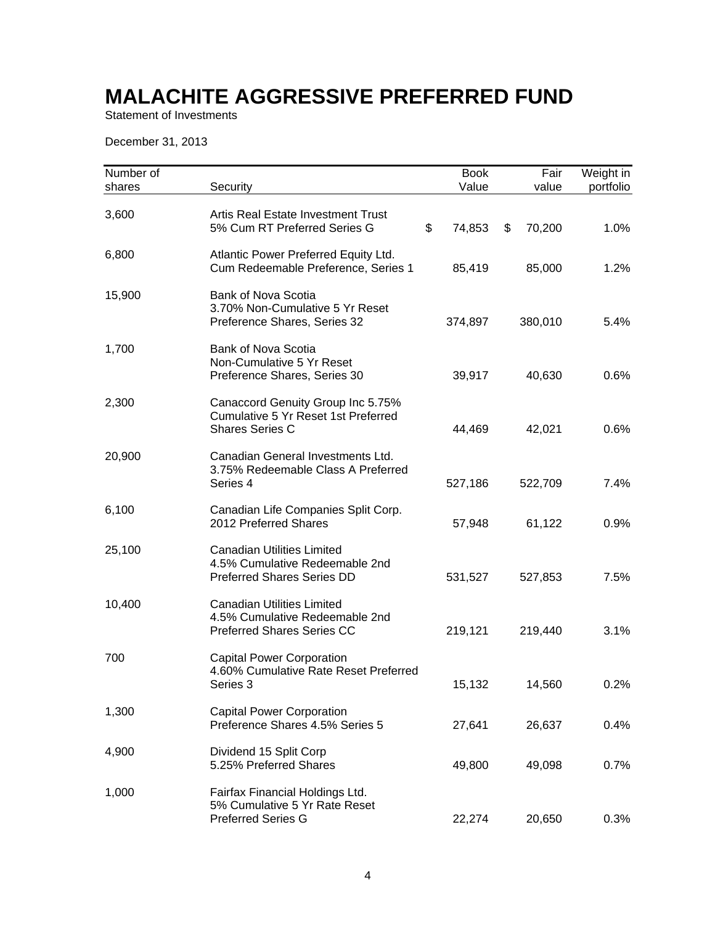Statement of Investments

December 31, 2013

| Number of<br>shares | Security                                                                                                 | <b>Book</b><br>Value | Fair<br>value | Weight in<br>portfolio |
|---------------------|----------------------------------------------------------------------------------------------------------|----------------------|---------------|------------------------|
| 3,600               | Artis Real Estate Investment Trust<br>5% Cum RT Preferred Series G                                       | \$<br>74,853         | \$<br>70,200  | 1.0%                   |
| 6,800               | Atlantic Power Preferred Equity Ltd.<br>Cum Redeemable Preference, Series 1                              | 85,419               | 85,000        | 1.2%                   |
| 15,900              | <b>Bank of Nova Scotia</b><br>3.70% Non-Cumulative 5 Yr Reset<br>Preference Shares, Series 32            | 374,897              | 380,010       | 5.4%                   |
| 1,700               | <b>Bank of Nova Scotia</b><br>Non-Cumulative 5 Yr Reset<br>Preference Shares, Series 30                  | 39,917               | 40,630        | 0.6%                   |
| 2,300               | Canaccord Genuity Group Inc 5.75%<br>Cumulative 5 Yr Reset 1st Preferred<br><b>Shares Series C</b>       | 44,469               | 42,021        | 0.6%                   |
| 20,900              | Canadian General Investments Ltd.<br>3.75% Redeemable Class A Preferred<br>Series 4                      | 527,186              | 522,709       | 7.4%                   |
| 6,100               | Canadian Life Companies Split Corp.<br>2012 Preferred Shares                                             | 57,948               | 61,122        | 0.9%                   |
| 25,100              | <b>Canadian Utilities Limited</b><br>4.5% Cumulative Redeemable 2nd<br><b>Preferred Shares Series DD</b> | 531,527              | 527,853       | 7.5%                   |
| 10,400              | <b>Canadian Utilities Limited</b><br>4.5% Cumulative Redeemable 2nd<br><b>Preferred Shares Series CC</b> | 219,121              | 219,440       | 3.1%                   |
| 700                 | <b>Capital Power Corporation</b><br>4.60% Cumulative Rate Reset Preferred<br>Series 3                    | 15,132               | 14,560        | 0.2%                   |
| 1,300               | <b>Capital Power Corporation</b><br>Preference Shares 4.5% Series 5                                      | 27,641               | 26,637        | 0.4%                   |
| 4,900               | Dividend 15 Split Corp<br>5.25% Preferred Shares                                                         | 49,800               | 49,098        | 0.7%                   |
| 1,000               | Fairfax Financial Holdings Ltd.<br>5% Cumulative 5 Yr Rate Reset<br><b>Preferred Series G</b>            | 22,274               | 20,650        | 0.3%                   |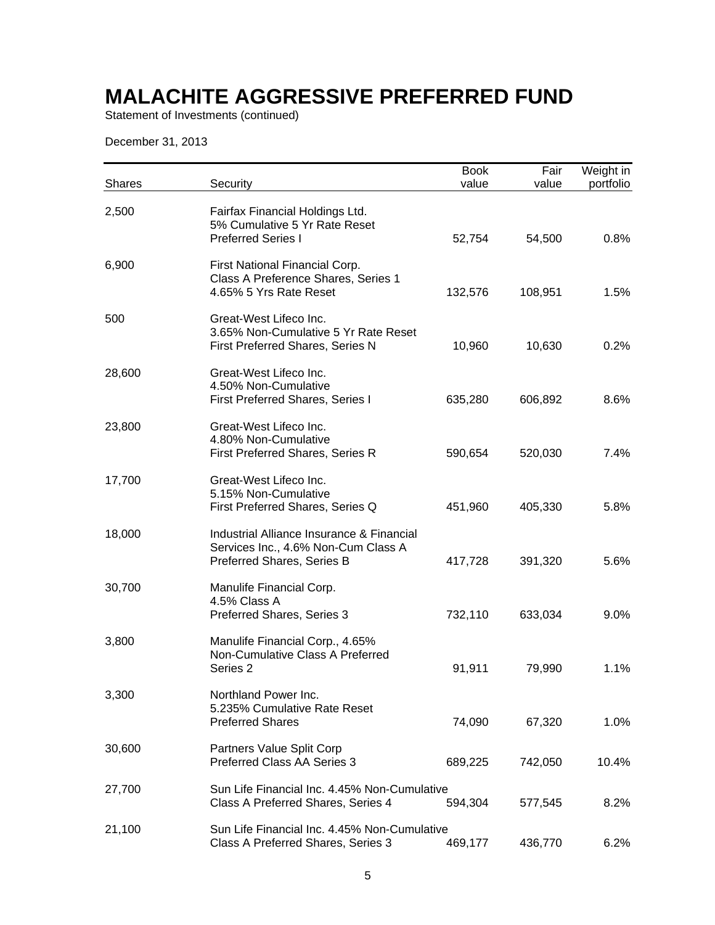Statement of Investments (continued)

December 31, 2013

| <b>Shares</b> | Security                                                                                                       | <b>Book</b><br>value | Fair<br>value | Weight in<br>portfolio |
|---------------|----------------------------------------------------------------------------------------------------------------|----------------------|---------------|------------------------|
| 2,500         | Fairfax Financial Holdings Ltd.<br>5% Cumulative 5 Yr Rate Reset<br><b>Preferred Series I</b>                  | 52,754               | 54,500        | 0.8%                   |
| 6,900         | First National Financial Corp.<br>Class A Preference Shares, Series 1<br>4.65% 5 Yrs Rate Reset                | 132,576              | 108,951       | 1.5%                   |
| 500           | Great-West Lifeco Inc.<br>3.65% Non-Cumulative 5 Yr Rate Reset<br>First Preferred Shares, Series N             | 10,960               | 10,630        | 0.2%                   |
| 28,600        | Great-West Lifeco Inc.<br>4.50% Non-Cumulative<br>First Preferred Shares, Series I                             | 635,280              | 606,892       | 8.6%                   |
| 23,800        | Great-West Lifeco Inc.<br>4.80% Non-Cumulative<br>First Preferred Shares, Series R                             | 590,654              | 520,030       | 7.4%                   |
| 17,700        | Great-West Lifeco Inc.<br>5.15% Non-Cumulative<br>First Preferred Shares, Series Q                             | 451,960              | 405,330       | 5.8%                   |
| 18,000        | Industrial Alliance Insurance & Financial<br>Services Inc., 4.6% Non-Cum Class A<br>Preferred Shares, Series B | 417,728              | 391,320       | 5.6%                   |
| 30,700        | Manulife Financial Corp.<br>4.5% Class A<br>Preferred Shares, Series 3                                         | 732,110              | 633,034       | 9.0%                   |
| 3,800         | Manulife Financial Corp., 4.65%<br>Non-Cumulative Class A Preferred<br>Series <sub>2</sub>                     | 91,911               | 79,990        | 1.1%                   |
| 3,300         | Northland Power Inc.<br>5.235% Cumulative Rate Reset<br><b>Preferred Shares</b>                                | 74,090               | 67,320        | 1.0%                   |
| 30,600        | Partners Value Split Corp<br><b>Preferred Class AA Series 3</b>                                                | 689,225              | 742,050       | 10.4%                  |
| 27,700        | Sun Life Financial Inc. 4.45% Non-Cumulative<br>Class A Preferred Shares, Series 4                             | 594,304              | 577,545       | 8.2%                   |
| 21,100        | Sun Life Financial Inc. 4.45% Non-Cumulative<br>Class A Preferred Shares, Series 3                             | 469,177              | 436,770       | 6.2%                   |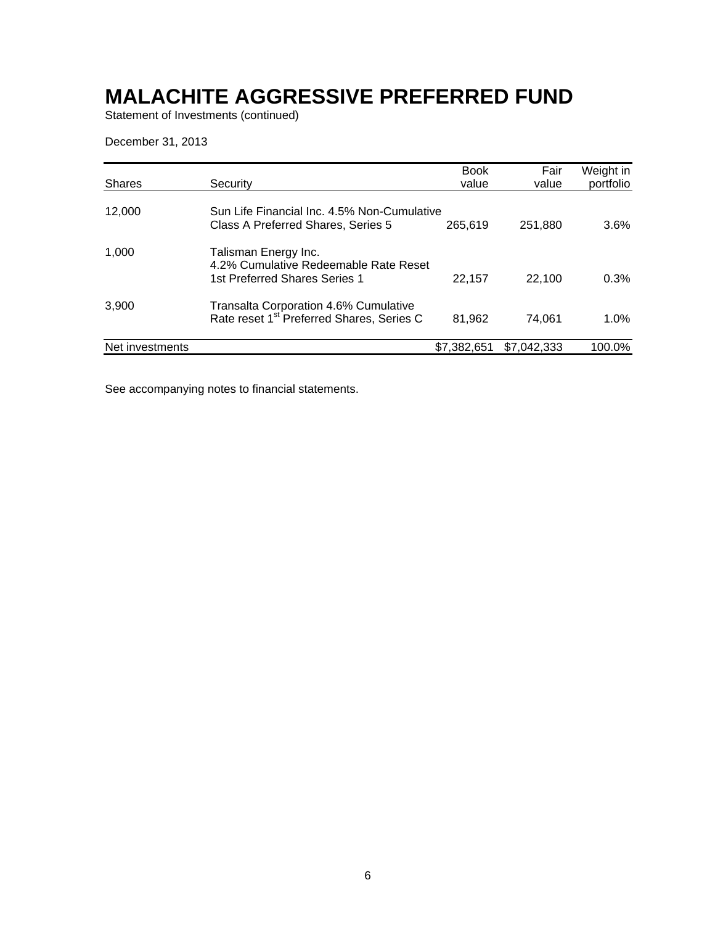Statement of Investments (continued)

December 31, 2013

| <b>Shares</b>   | Security                                                                                              | <b>Book</b><br>value | Fair<br>value | Weight in<br>portfolio |
|-----------------|-------------------------------------------------------------------------------------------------------|----------------------|---------------|------------------------|
| 12.000          | Sun Life Financial Inc. 4.5% Non-Cumulative<br>Class A Preferred Shares, Series 5                     | 265,619              | 251,880       | 3.6%                   |
| 1,000           | Talisman Energy Inc.<br>4.2% Cumulative Redeemable Rate Reset<br>1st Preferred Shares Series 1        | 22.157               | 22.100        | 0.3%                   |
| 3,900           | <b>Transalta Corporation 4.6% Cumulative</b><br>Rate reset 1 <sup>st</sup> Preferred Shares, Series C | 81.962               | 74.061        | 1.0%                   |
| Net investments |                                                                                                       | \$7,382,651          | \$7,042,333   | 100.0%                 |

See accompanying notes to financial statements.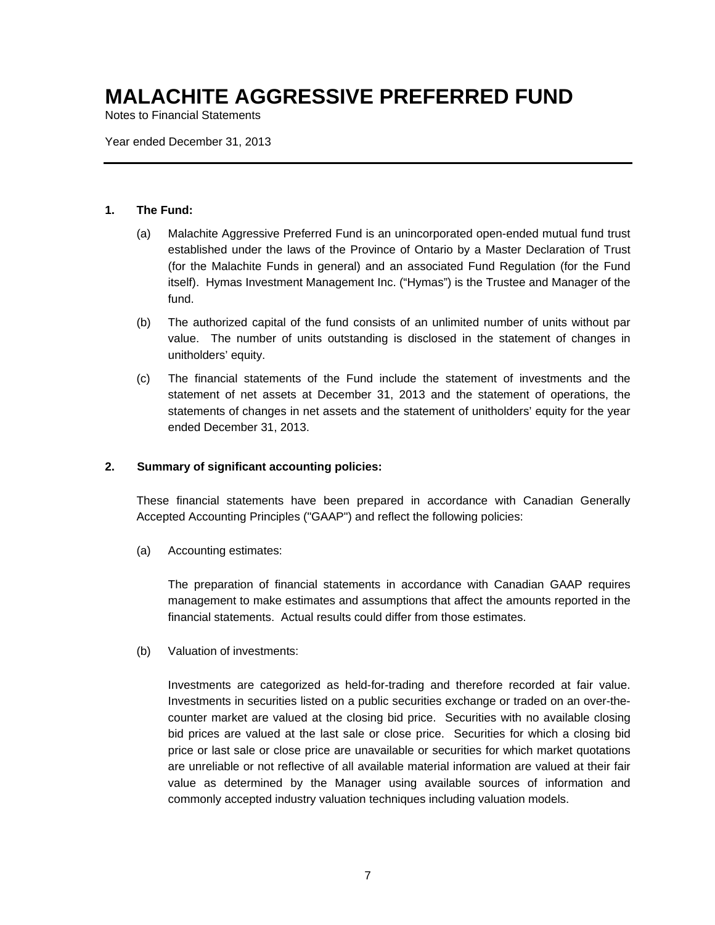Notes to Financial Statements

Year ended December 31, 2013

#### **1. The Fund:**

- (a) Malachite Aggressive Preferred Fund is an unincorporated open-ended mutual fund trust established under the laws of the Province of Ontario by a Master Declaration of Trust (for the Malachite Funds in general) and an associated Fund Regulation (for the Fund itself). Hymas Investment Management Inc. ("Hymas") is the Trustee and Manager of the fund.
- (b) The authorized capital of the fund consists of an unlimited number of units without par value. The number of units outstanding is disclosed in the statement of changes in unitholders' equity.
- (c) The financial statements of the Fund include the statement of investments and the statement of net assets at December 31, 2013 and the statement of operations, the statements of changes in net assets and the statement of unitholders' equity for the year ended December 31, 2013.

#### **2. Summary of significant accounting policies:**

These financial statements have been prepared in accordance with Canadian Generally Accepted Accounting Principles ("GAAP") and reflect the following policies:

(a) Accounting estimates:

The preparation of financial statements in accordance with Canadian GAAP requires management to make estimates and assumptions that affect the amounts reported in the financial statements. Actual results could differ from those estimates.

(b) Valuation of investments:

Investments are categorized as held-for-trading and therefore recorded at fair value. Investments in securities listed on a public securities exchange or traded on an over-thecounter market are valued at the closing bid price. Securities with no available closing bid prices are valued at the last sale or close price. Securities for which a closing bid price or last sale or close price are unavailable or securities for which market quotations are unreliable or not reflective of all available material information are valued at their fair value as determined by the Manager using available sources of information and commonly accepted industry valuation techniques including valuation models.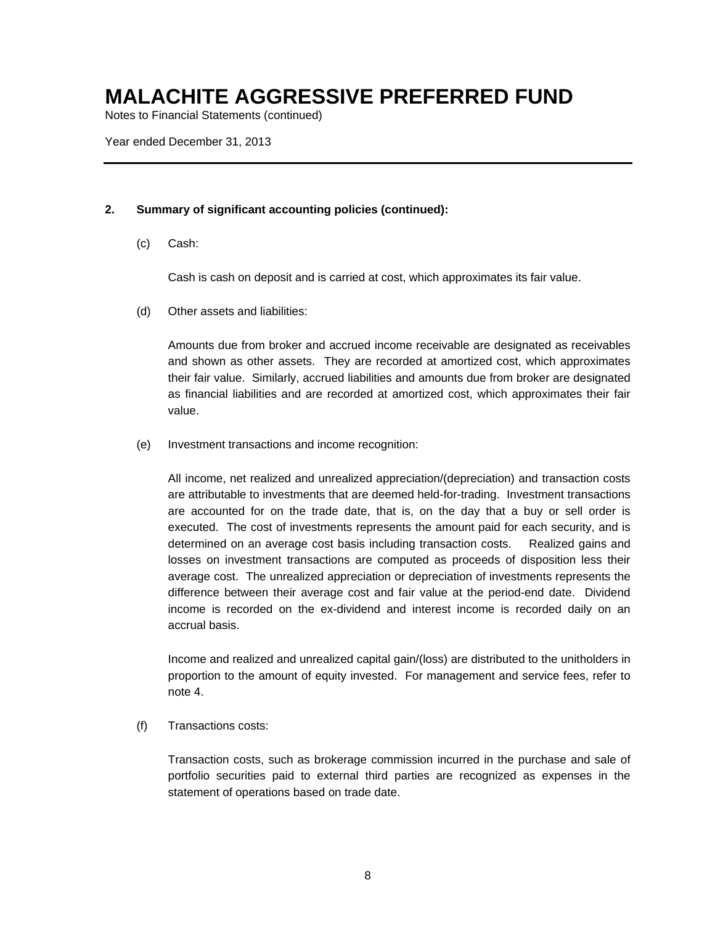Notes to Financial Statements (continued)

Year ended December 31, 2013

#### **2. Summary of significant accounting policies (continued):**

(c) Cash:

Cash is cash on deposit and is carried at cost, which approximates its fair value.

(d) Other assets and liabilities:

Amounts due from broker and accrued income receivable are designated as receivables and shown as other assets. They are recorded at amortized cost, which approximates their fair value. Similarly, accrued liabilities and amounts due from broker are designated as financial liabilities and are recorded at amortized cost, which approximates their fair value.

(e) Investment transactions and income recognition:

All income, net realized and unrealized appreciation/(depreciation) and transaction costs are attributable to investments that are deemed held-for-trading. Investment transactions are accounted for on the trade date, that is, on the day that a buy or sell order is executed. The cost of investments represents the amount paid for each security, and is determined on an average cost basis including transaction costs. Realized gains and losses on investment transactions are computed as proceeds of disposition less their average cost. The unrealized appreciation or depreciation of investments represents the difference between their average cost and fair value at the period-end date. Dividend income is recorded on the ex-dividend and interest income is recorded daily on an accrual basis.

Income and realized and unrealized capital gain/(loss) are distributed to the unitholders in proportion to the amount of equity invested. For management and service fees, refer to note 4.

(f) Transactions costs:

Transaction costs, such as brokerage commission incurred in the purchase and sale of portfolio securities paid to external third parties are recognized as expenses in the statement of operations based on trade date.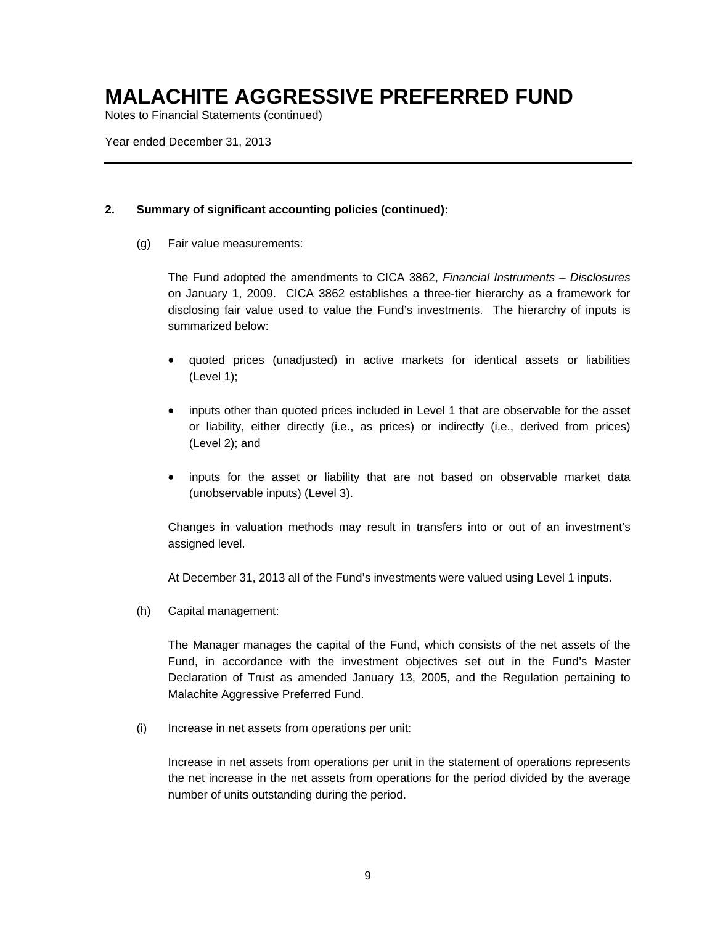Notes to Financial Statements (continued)

Year ended December 31, 2013

#### **2. Summary of significant accounting policies (continued):**

(g) Fair value measurements:

The Fund adopted the amendments to CICA 3862, *Financial Instruments – Disclosures*  on January 1, 2009. CICA 3862 establishes a three-tier hierarchy as a framework for disclosing fair value used to value the Fund's investments. The hierarchy of inputs is summarized below:

- quoted prices (unadjusted) in active markets for identical assets or liabilities (Level 1);
- inputs other than quoted prices included in Level 1 that are observable for the asset or liability, either directly (i.e., as prices) or indirectly (i.e., derived from prices) (Level 2); and
- inputs for the asset or liability that are not based on observable market data (unobservable inputs) (Level 3).

Changes in valuation methods may result in transfers into or out of an investment's assigned level.

At December 31, 2013 all of the Fund's investments were valued using Level 1 inputs.

(h) Capital management:

The Manager manages the capital of the Fund, which consists of the net assets of the Fund, in accordance with the investment objectives set out in the Fund's Master Declaration of Trust as amended January 13, 2005, and the Regulation pertaining to Malachite Aggressive Preferred Fund.

(i) Increase in net assets from operations per unit:

Increase in net assets from operations per unit in the statement of operations represents the net increase in the net assets from operations for the period divided by the average number of units outstanding during the period.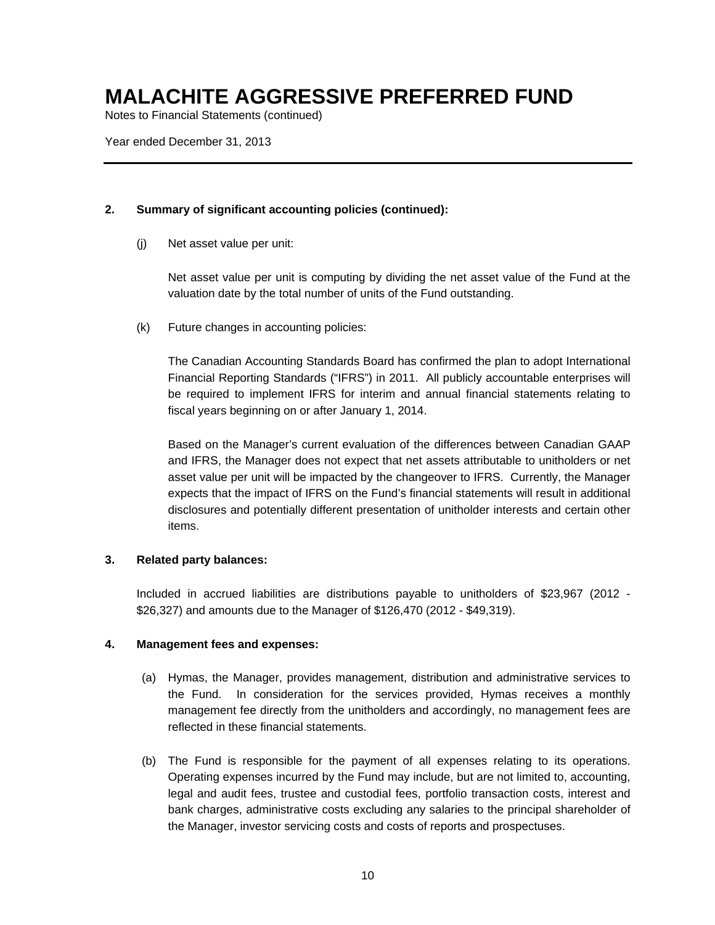Notes to Financial Statements (continued)

Year ended December 31, 2013

#### **2. Summary of significant accounting policies (continued):**

(j) Net asset value per unit:

Net asset value per unit is computing by dividing the net asset value of the Fund at the valuation date by the total number of units of the Fund outstanding.

(k) Future changes in accounting policies:

The Canadian Accounting Standards Board has confirmed the plan to adopt International Financial Reporting Standards ("IFRS") in 2011. All publicly accountable enterprises will be required to implement IFRS for interim and annual financial statements relating to fiscal years beginning on or after January 1, 2014.

Based on the Manager's current evaluation of the differences between Canadian GAAP and IFRS, the Manager does not expect that net assets attributable to unitholders or net asset value per unit will be impacted by the changeover to IFRS. Currently, the Manager expects that the impact of IFRS on the Fund's financial statements will result in additional disclosures and potentially different presentation of unitholder interests and certain other items.

#### **3. Related party balances:**

Included in accrued liabilities are distributions payable to unitholders of \$23,967 (2012 - \$26,327) and amounts due to the Manager of \$126,470 (2012 - \$49,319).

#### **4. Management fees and expenses:**

- (a) Hymas, the Manager, provides management, distribution and administrative services to the Fund. In consideration for the services provided, Hymas receives a monthly management fee directly from the unitholders and accordingly, no management fees are reflected in these financial statements.
- (b) The Fund is responsible for the payment of all expenses relating to its operations. Operating expenses incurred by the Fund may include, but are not limited to, accounting, legal and audit fees, trustee and custodial fees, portfolio transaction costs, interest and bank charges, administrative costs excluding any salaries to the principal shareholder of the Manager, investor servicing costs and costs of reports and prospectuses.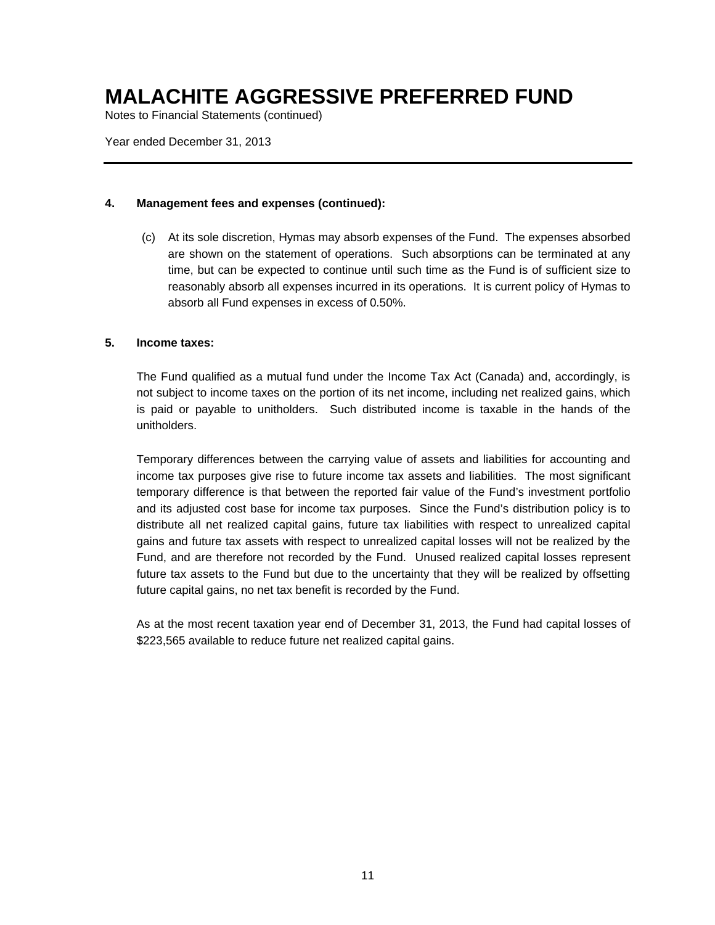Notes to Financial Statements (continued)

Year ended December 31, 2013

#### **4. Management fees and expenses (continued):**

(c) At its sole discretion, Hymas may absorb expenses of the Fund. The expenses absorbed are shown on the statement of operations. Such absorptions can be terminated at any time, but can be expected to continue until such time as the Fund is of sufficient size to reasonably absorb all expenses incurred in its operations. It is current policy of Hymas to absorb all Fund expenses in excess of 0.50%.

#### **5. Income taxes:**

The Fund qualified as a mutual fund under the Income Tax Act (Canada) and, accordingly, is not subject to income taxes on the portion of its net income, including net realized gains, which is paid or payable to unitholders. Such distributed income is taxable in the hands of the unitholders.

Temporary differences between the carrying value of assets and liabilities for accounting and income tax purposes give rise to future income tax assets and liabilities. The most significant temporary difference is that between the reported fair value of the Fund's investment portfolio and its adjusted cost base for income tax purposes. Since the Fund's distribution policy is to distribute all net realized capital gains, future tax liabilities with respect to unrealized capital gains and future tax assets with respect to unrealized capital losses will not be realized by the Fund, and are therefore not recorded by the Fund. Unused realized capital losses represent future tax assets to the Fund but due to the uncertainty that they will be realized by offsetting future capital gains, no net tax benefit is recorded by the Fund.

As at the most recent taxation year end of December 31, 2013, the Fund had capital losses of \$223,565 available to reduce future net realized capital gains.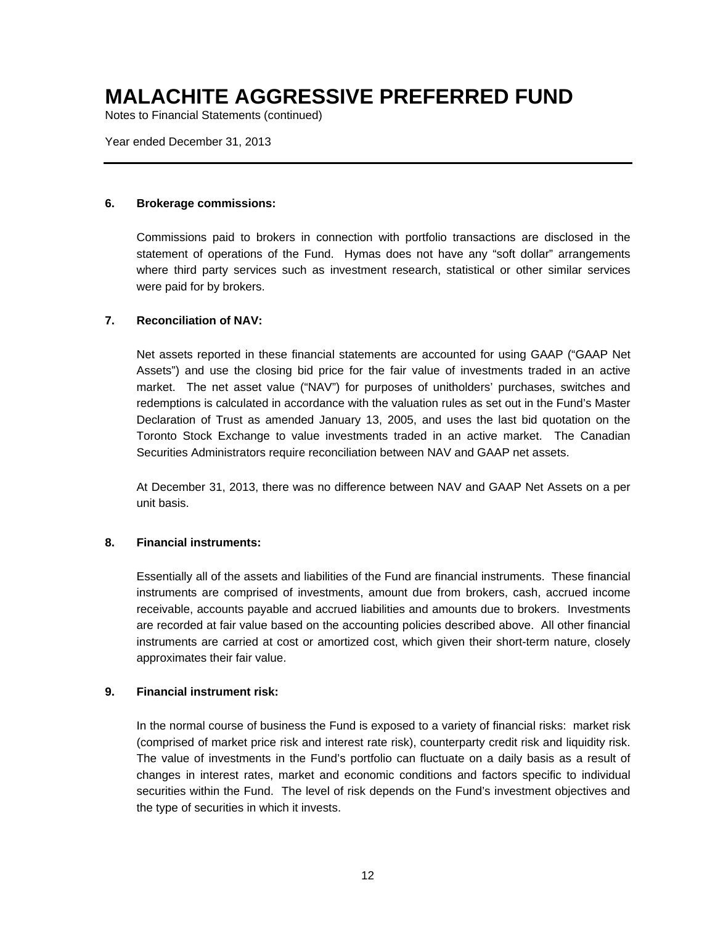Notes to Financial Statements (continued)

Year ended December 31, 2013

#### **6. Brokerage commissions:**

Commissions paid to brokers in connection with portfolio transactions are disclosed in the statement of operations of the Fund. Hymas does not have any "soft dollar" arrangements where third party services such as investment research, statistical or other similar services were paid for by brokers.

### **7. Reconciliation of NAV:**

Net assets reported in these financial statements are accounted for using GAAP ("GAAP Net Assets") and use the closing bid price for the fair value of investments traded in an active market. The net asset value ("NAV") for purposes of unitholders' purchases, switches and redemptions is calculated in accordance with the valuation rules as set out in the Fund's Master Declaration of Trust as amended January 13, 2005, and uses the last bid quotation on the Toronto Stock Exchange to value investments traded in an active market. The Canadian Securities Administrators require reconciliation between NAV and GAAP net assets.

At December 31, 2013, there was no difference between NAV and GAAP Net Assets on a per unit basis.

#### **8. Financial instruments:**

Essentially all of the assets and liabilities of the Fund are financial instruments. These financial instruments are comprised of investments, amount due from brokers, cash, accrued income receivable, accounts payable and accrued liabilities and amounts due to brokers. Investments are recorded at fair value based on the accounting policies described above. All other financial instruments are carried at cost or amortized cost, which given their short-term nature, closely approximates their fair value.

#### **9. Financial instrument risk:**

In the normal course of business the Fund is exposed to a variety of financial risks: market risk (comprised of market price risk and interest rate risk), counterparty credit risk and liquidity risk. The value of investments in the Fund's portfolio can fluctuate on a daily basis as a result of changes in interest rates, market and economic conditions and factors specific to individual securities within the Fund. The level of risk depends on the Fund's investment objectives and the type of securities in which it invests.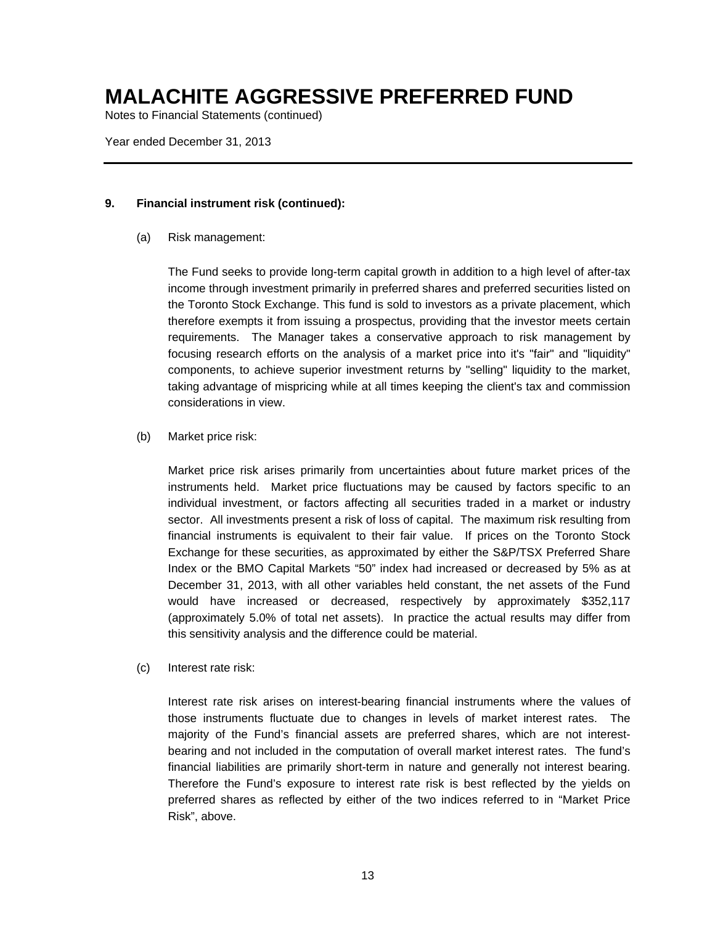Notes to Financial Statements (continued)

Year ended December 31, 2013

#### **9. Financial instrument risk (continued):**

(a) Risk management:

The Fund seeks to provide long-term capital growth in addition to a high level of after-tax income through investment primarily in preferred shares and preferred securities listed on the Toronto Stock Exchange. This fund is sold to investors as a private placement, which therefore exempts it from issuing a prospectus, providing that the investor meets certain requirements. The Manager takes a conservative approach to risk management by focusing research efforts on the analysis of a market price into it's "fair" and "liquidity" components, to achieve superior investment returns by "selling" liquidity to the market, taking advantage of mispricing while at all times keeping the client's tax and commission considerations in view.

(b) Market price risk:

Market price risk arises primarily from uncertainties about future market prices of the instruments held. Market price fluctuations may be caused by factors specific to an individual investment, or factors affecting all securities traded in a market or industry sector. All investments present a risk of loss of capital. The maximum risk resulting from financial instruments is equivalent to their fair value. If prices on the Toronto Stock Exchange for these securities, as approximated by either the S&P/TSX Preferred Share Index or the BMO Capital Markets "50" index had increased or decreased by 5% as at December 31, 2013, with all other variables held constant, the net assets of the Fund would have increased or decreased, respectively by approximately \$352,117 (approximately 5.0% of total net assets). In practice the actual results may differ from this sensitivity analysis and the difference could be material.

(c) Interest rate risk:

Interest rate risk arises on interest-bearing financial instruments where the values of those instruments fluctuate due to changes in levels of market interest rates. The majority of the Fund's financial assets are preferred shares, which are not interestbearing and not included in the computation of overall market interest rates. The fund's financial liabilities are primarily short-term in nature and generally not interest bearing. Therefore the Fund's exposure to interest rate risk is best reflected by the yields on preferred shares as reflected by either of the two indices referred to in "Market Price Risk", above.